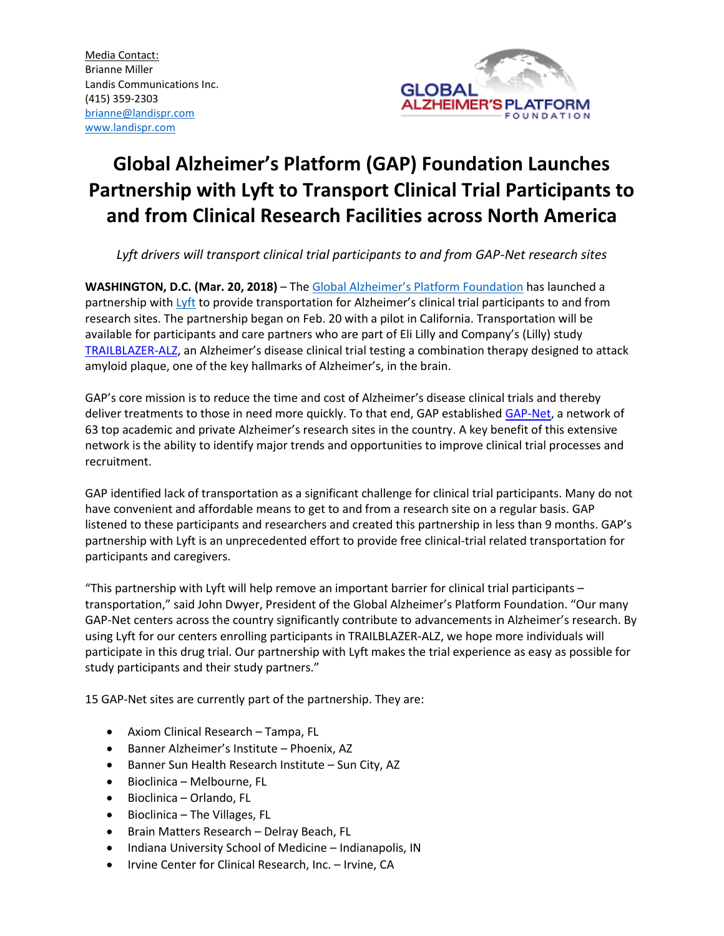

# **Global Alzheimer's Platform (GAP) Foundation Launches Partnership with Lyft to Transport Clinical Trial Participants to and from Clinical Research Facilities across North America**

*Lyft drivers will transport clinical trial participants to and from GAP-Net research sites*

**WASHINGTON, D.C. (Mar. 20, 2018)** – The [Global Alzheimer's Platform Foundation](http://www.globalalzplatform.org/) has launched a partnership with [Lyft](https://www.lyft.com/) to provide transportation for Alzheimer's clinical trial participants to and from research sites. The partnership began on Feb. 20 with a pilot in California. Transportation will be available for participants and care partners who are part of Eli Lilly and Company's (Lilly) study [TRAILBLAZER-ALZ](https://clinicaltrials.gov/ct2/show/NCT03367403?term=TRAILBLAZER-ALZ&rank=1), an Alzheimer's disease clinical trial testing a combination therapy designed to attack amyloid plaque, one of the key hallmarks of Alzheimer's, in the brain.

GAP's core mission is to reduce the time and cost of Alzheimer's disease clinical trials and thereby deliver treatments to those in need more quickly. To that end, GAP established [GAP-Net,](https://www.memorystrings.org/research_network) a network of 63 top academic and private Alzheimer's research sites in the country. A key benefit of this extensive network is the ability to identify major trends and opportunities to improve clinical trial processes and recruitment.

GAP identified lack of transportation as a significant challenge for clinical trial participants. Many do not have convenient and affordable means to get to and from a research site on a regular basis. GAP listened to these participants and researchers and created this partnership in less than 9 months. GAP's partnership with Lyft is an unprecedented effort to provide free clinical-trial related transportation for participants and caregivers.

"This partnership with Lyft will help remove an important barrier for clinical trial participants – transportation," said John Dwyer, President of the Global Alzheimer's Platform Foundation. "Our many GAP-Net centers across the country significantly contribute to advancements in Alzheimer's research. By using Lyft for our centers enrolling participants in TRAILBLAZER-ALZ, we hope more individuals will participate in this drug trial. Our partnership with Lyft makes the trial experience as easy as possible for study participants and their study partners."

15 GAP-Net sites are currently part of the partnership. They are:

- Axiom Clinical Research Tampa, FL
- Banner Alzheimer's Institute Phoenix, AZ
- Banner Sun Health Research Institute Sun City, AZ
- Bioclinica Melbourne, FL
- Bioclinica Orlando, FL
- Bioclinica The Villages, FL
- Brain Matters Research Delray Beach, FL
- Indiana University School of Medicine Indianapolis, IN
- Irvine Center for Clinical Research, Inc. Irvine, CA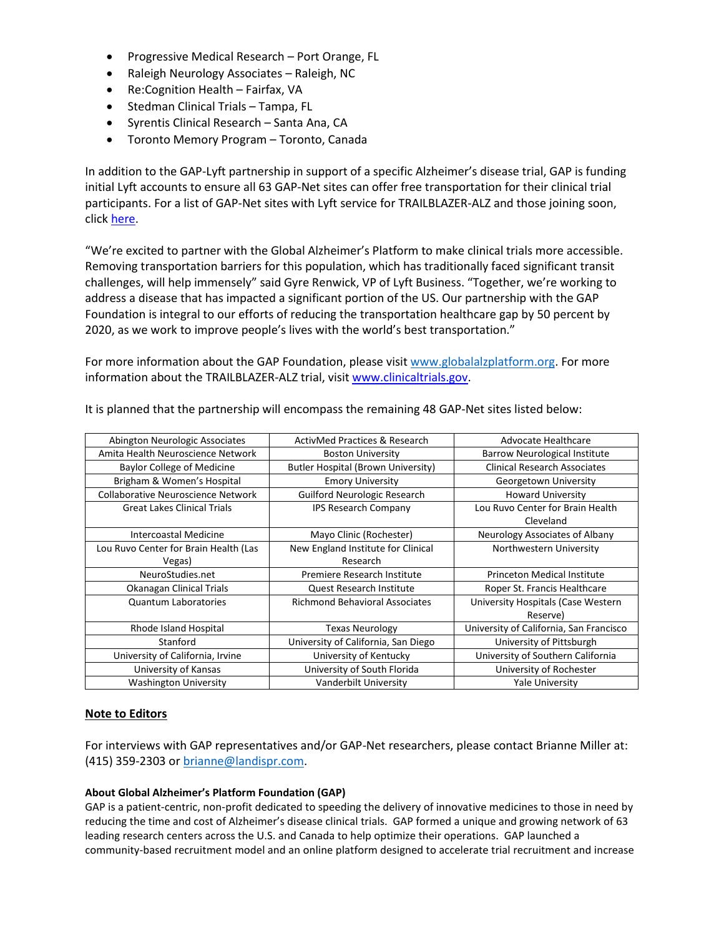- Progressive Medical Research Port Orange, FL
- Raleigh Neurology Associates Raleigh, NC
- Re:Cognition Health Fairfax, VA
- Stedman Clinical Trials Tampa, FL
- Syrentis Clinical Research Santa Ana, CA
- Toronto Memory Program Toronto, Canada

In addition to the GAP-Lyft partnership in support of a specific Alzheimer's disease trial, GAP is funding initial Lyft accounts to ensure all 63 GAP-Net sites can offer free transportation for their clinical trial participants. For a list of GAP-Net sites with Lyft service for TRAILBLAZER-ALZ and those joining soon, click [here.](https://www.memorystrings.org/lyft?utm_source=pressrelease&utm_medium=prnewswire&utm_campaign=lyftpartnership)

"We're excited to partner with the Global Alzheimer's Platform to make clinical trials more accessible. Removing transportation barriers for this population, which has traditionally faced significant transit challenges, will help immensely" said Gyre Renwick, VP of Lyft Business. "Together, we're working to address a disease that has impacted a significant portion of the US. Our partnership with the GAP Foundation is integral to our efforts of reducing the transportation healthcare gap by 50 percent by 2020, as we work to improve people's lives with the world's best transportation."

For more information about the GAP Foundation, please visit [www.globalalzplatform.org.](http://www.globalalzplatform.org/) For more information about the TRAILBLAZER-ALZ trial, visit [www.clinicaltrials.gov.](https://clinicaltrials.gov/ct2/show/NCT03367403?term=TRAILBLAZER-ALZ&rank=1)

| Abington Neurologic Associates        | <b>ActivMed Practices &amp; Research</b>  | Advocate Healthcare                     |
|---------------------------------------|-------------------------------------------|-----------------------------------------|
| Amita Health Neuroscience Network     | <b>Boston University</b>                  | <b>Barrow Neurological Institute</b>    |
| <b>Baylor College of Medicine</b>     | <b>Butler Hospital (Brown University)</b> | <b>Clinical Research Associates</b>     |
| Brigham & Women's Hospital            | <b>Emory University</b>                   | Georgetown University                   |
| Collaborative Neuroscience Network    | Guilford Neurologic Research              | <b>Howard University</b>                |
| <b>Great Lakes Clinical Trials</b>    | <b>IPS Research Company</b>               | Lou Ruvo Center for Brain Health        |
|                                       |                                           | Cleveland                               |
| Intercoastal Medicine                 | Mayo Clinic (Rochester)                   | Neurology Associates of Albany          |
| Lou Ruvo Center for Brain Health (Las | New England Institute for Clinical        | Northwestern University                 |
| Vegas)                                | Research                                  |                                         |
| NeuroStudies.net                      | Premiere Research Institute               | <b>Princeton Medical Institute</b>      |
| Okanagan Clinical Trials              | Quest Research Institute                  | Roper St. Francis Healthcare            |
| <b>Quantum Laboratories</b>           | <b>Richmond Behavioral Associates</b>     | University Hospitals (Case Western      |
|                                       |                                           | Reserve)                                |
| Rhode Island Hospital                 | <b>Texas Neurology</b>                    | University of California, San Francisco |
| Stanford                              | University of California, San Diego       | University of Pittsburgh                |
| University of California, Irvine      | University of Kentucky                    | University of Southern California       |
| University of Kansas                  | University of South Florida               | University of Rochester                 |
| <b>Washington University</b>          | Vanderbilt University                     | <b>Yale University</b>                  |

It is planned that the partnership will encompass the remaining 48 GAP-Net sites listed below:

## **Note to Editors**

For interviews with GAP representatives and/or GAP-Net researchers, please contact Brianne Miller at: (415) 359-2303 or [brianne@landispr.com.](mailto:brianne@landispr.com)

## **About Global Alzheimer's Platform Foundation (GAP)**

GAP is a patient-centric, non-profit dedicated to speeding the delivery of innovative medicines to those in need by reducing the time and cost of Alzheimer's disease clinical trials. GAP formed a unique and growing network of 63 leading research centers across the U.S. and Canada to help optimize their operations. GAP launched a community-based recruitment model and an online platform designed to accelerate trial recruitment and increase